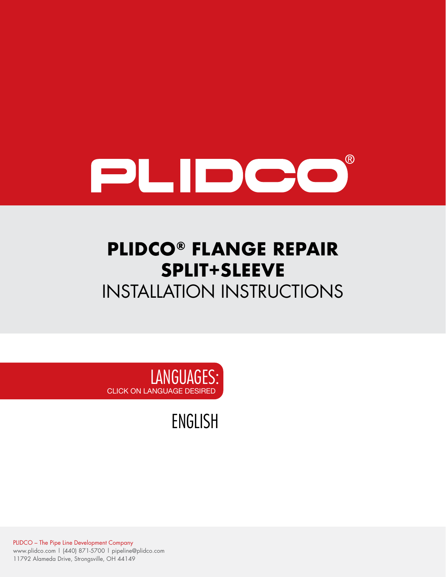

# **PLIDCO® FLANGE REPAIR SPLIT+SLEEVE** INSTALLATION INSTRUCTIONS

LANGUAGES: CLICK ON LANGUAGE DESIRED

[ENGLISH](#page-1-0)

PLIDCO – The Pipe Line Development Company www.plidco.com | (440) 871-5700 | pipeline@plidco.com 11792 Alameda Drive, Strongsville, OH 44149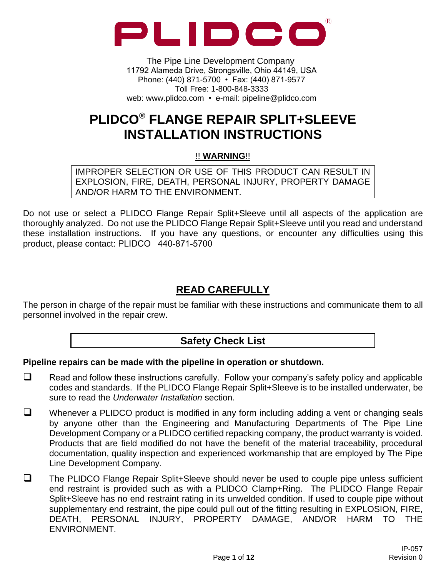<span id="page-1-0"></span>

The Pipe Line Development Company 11792 Alameda Drive, Strongsville, Ohio 44149, USA Phone: (440) 871-5700 • Fax: (440) 871-9577 Toll Free: 1-800-848-3333 web: www.plidco.com • e-mail: pipeline@plidco.com

## **PLIDCO® FLANGE REPAIR SPLIT+SLEEVE INSTALLATION INSTRUCTIONS**

#### !! **WARNING**!!

IMPROPER SELECTION OR USE OF THIS PRODUCT CAN RESULT IN EXPLOSION, FIRE, DEATH, PERSONAL INJURY, PROPERTY DAMAGE AND/OR HARM TO THE ENVIRONMENT.

Do not use or select a PLIDCO Flange Repair Split+Sleeve until all aspects of the application are thoroughly analyzed. Do not use the PLIDCO Flange Repair Split+Sleeve until you read and understand these installation instructions. If you have any questions, or encounter any difficulties using this product, please contact: PLIDCO 440-871-5700

## **READ CAREFULLY**

The person in charge of the repair must be familiar with these instructions and communicate them to all personnel involved in the repair crew.

## **Safety Check List**

#### **Pipeline repairs can be made with the pipeline in operation or shutdown.**

- ❑ Read and follow these instructions carefully. Follow your company's safety policy and applicable codes and standards. If the PLIDCO Flange Repair Split+Sleeve is to be installed underwater, be sure to read the *Underwater Installation* section.
- ❑ Whenever a PLIDCO product is modified in any form including adding a vent or changing seals by anyone other than the Engineering and Manufacturing Departments of The Pipe Line Development Company or a PLIDCO certified repacking company, the product warranty is voided. Products that are field modified do not have the benefit of the material traceability, procedural documentation, quality inspection and experienced workmanship that are employed by The Pipe Line Development Company.
- ❑ The PLIDCO Flange Repair Split+Sleeve should never be used to couple pipe unless sufficient end restraint is provided such as with a PLIDCO Clamp+Ring. The PLIDCO Flange Repair Split+Sleeve has no end restraint rating in its unwelded condition. If used to couple pipe without supplementary end restraint, the pipe could pull out of the fitting resulting in EXPLOSION, FIRE, DEATH, PERSONAL INJURY, PROPERTY DAMAGE, AND/OR HARM TO THE ENVIRONMENT.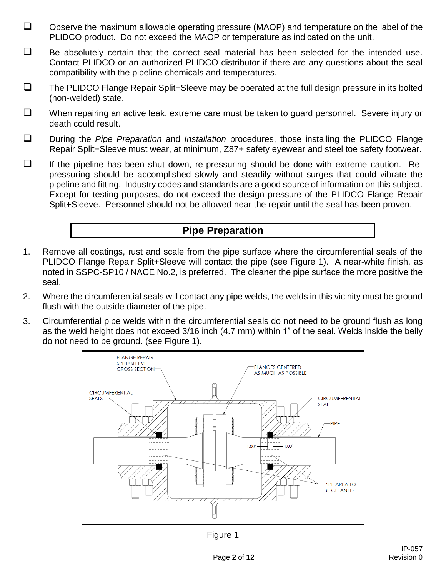- ❑ Observe the maximum allowable operating pressure (MAOP) and temperature on the label of the PLIDCO product. Do not exceed the MAOP or temperature as indicated on the unit.
- ❑ Be absolutely certain that the correct seal material has been selected for the intended use. Contact PLIDCO or an authorized PLIDCO distributor if there are any questions about the seal compatibility with the pipeline chemicals and temperatures.
- ❑ The PLIDCO Flange Repair Split+Sleeve may be operated at the full design pressure in its bolted (non-welded) state.
- ❑ When repairing an active leak, extreme care must be taken to guard personnel. Severe injury or death could result.
- ❑ During the *Pipe Preparation* and *Installation* procedures, those installing the PLIDCO Flange Repair Split+Sleeve must wear, at minimum, Z87+ safety eyewear and steel toe safety footwear.
- ❑ If the pipeline has been shut down, re-pressuring should be done with extreme caution. Repressuring should be accomplished slowly and steadily without surges that could vibrate the pipeline and fitting. Industry codes and standards are a good source of information on this subject. Except for testing purposes, do not exceed the design pressure of the PLIDCO Flange Repair Split+Sleeve. Personnel should not be allowed near the repair until the seal has been proven.

## **Pipe Preparation**

- 1. Remove all coatings, rust and scale from the pipe surface where the circumferential seals of the PLIDCO Flange Repair Split+Sleeve will contact the pipe (see Figure 1). A near-white finish, as noted in SSPC-SP10 / NACE No.2, is preferred. The cleaner the pipe surface the more positive the seal.
- 2. Where the circumferential seals will contact any pipe welds, the welds in this vicinity must be ground flush with the outside diameter of the pipe.
- 3. Circumferential pipe welds within the circumferential seals do not need to be ground flush as long as the weld height does not exceed 3/16 inch (4.7 mm) within 1" of the seal. Welds inside the belly do not need to be ground. (see Figure 1).



Figure 1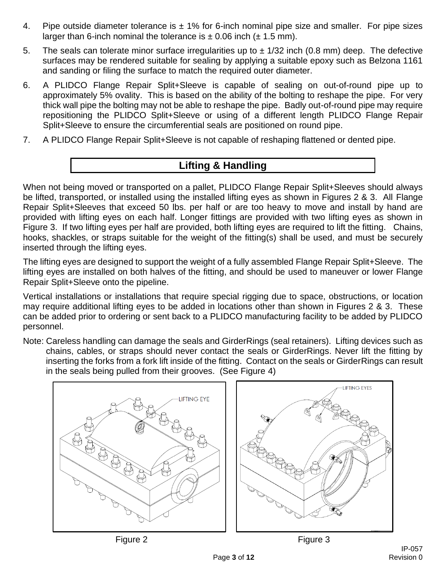- 4. Pipe outside diameter tolerance is  $\pm$  1% for 6-inch nominal pipe size and smaller. For pipe sizes larger than 6-inch nominal the tolerance is  $\pm$  0.06 inch ( $\pm$  1.5 mm).
- 5. The seals can tolerate minor surface irregularities up to  $\pm$  1/32 inch (0.8 mm) deep. The defective surfaces may be rendered suitable for sealing by applying a suitable epoxy such as Belzona 1161 and sanding or filing the surface to match the required outer diameter.
- 6. A PLIDCO Flange Repair Split+Sleeve is capable of sealing on out-of-round pipe up to approximately 5% ovality. This is based on the ability of the bolting to reshape the pipe. For very thick wall pipe the bolting may not be able to reshape the pipe. Badly out-of-round pipe may require repositioning the PLIDCO Split+Sleeve or using of a different length PLIDCO Flange Repair Split+Sleeve to ensure the circumferential seals are positioned on round pipe.
- 7. A PLIDCO Flange Repair Split+Sleeve is not capable of reshaping flattened or dented pipe.

## **Lifting & Handling**

When not being moved or transported on a pallet, PLIDCO Flange Repair Split+Sleeves should always be lifted, transported, or installed using the installed lifting eyes as shown in Figures 2 & 3. All Flange Repair Split+Sleeves that exceed 50 lbs. per half or are too heavy to move and install by hand are provided with lifting eyes on each half. Longer fittings are provided with two lifting eyes as shown in Figure 3. If two lifting eyes per half are provided, both lifting eyes are required to lift the fitting. Chains, hooks, shackles, or straps suitable for the weight of the fitting(s) shall be used, and must be securely inserted through the lifting eyes.

The lifting eyes are designed to support the weight of a fully assembled Flange Repair Split+Sleeve. The lifting eyes are installed on both halves of the fitting, and should be used to maneuver or lower Flange Repair Split+Sleeve onto the pipeline.

Vertical installations or installations that require special rigging due to space, obstructions, or location may require additional lifting eyes to be added in locations other than shown in Figures 2 & 3. These can be added prior to ordering or sent back to a PLIDCO manufacturing facility to be added by PLIDCO personnel.

Note: Careless handling can damage the seals and GirderRings (seal retainers). Lifting devices such as chains, cables, or straps should never contact the seals or GirderRings. Never lift the fitting by inserting the forks from a fork lift inside of the fitting. Contact on the seals or GirderRings can result in the seals being pulled from their grooves. (See Figure 4)

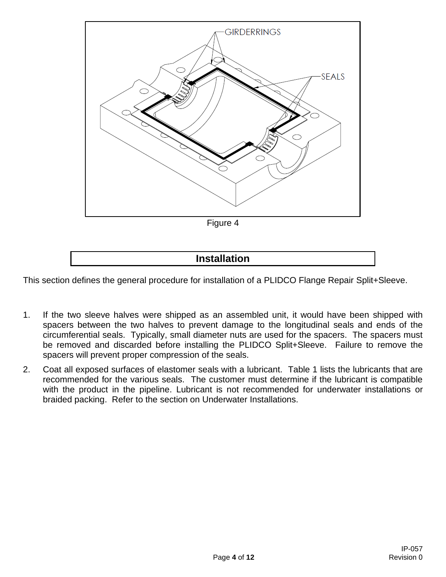

## **Installation**

This section defines the general procedure for installation of a PLIDCO Flange Repair Split+Sleeve.

- 1. If the two sleeve halves were shipped as an assembled unit, it would have been shipped with spacers between the two halves to prevent damage to the longitudinal seals and ends of the circumferential seals. Typically, small diameter nuts are used for the spacers. The spacers must be removed and discarded before installing the PLIDCO Split+Sleeve. Failure to remove the spacers will prevent proper compression of the seals.
- 2. Coat all exposed surfaces of elastomer seals with a lubricant. Table 1 lists the lubricants that are recommended for the various seals. The customer must determine if the lubricant is compatible with the product in the pipeline. Lubricant is not recommended for underwater installations or braided packing. Refer to the section on Underwater Installations.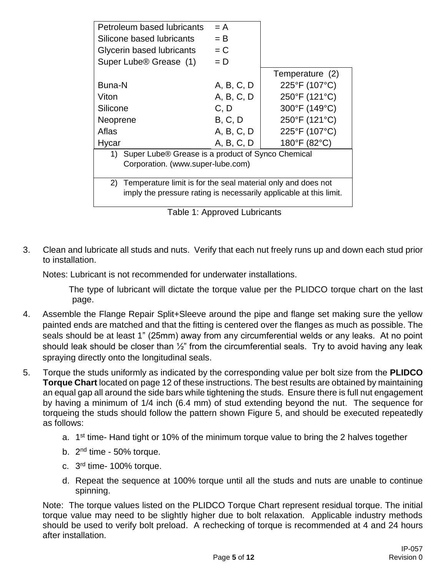| Petroleum based lubricants                                         | $= A$      |                 |  |  |  |
|--------------------------------------------------------------------|------------|-----------------|--|--|--|
| Silicone based lubricants                                          | $=$ B      |                 |  |  |  |
| Glycerin based lubricants                                          | $= C$      |                 |  |  |  |
| Super Lube <sup>®</sup> Grease (1)                                 | $= D$      |                 |  |  |  |
|                                                                    |            | Temperature (2) |  |  |  |
| Buna-N                                                             | A, B, C, D | 225°F (107°C)   |  |  |  |
| Viton                                                              | A, B, C, D | 250°F (121°C)   |  |  |  |
| Silicone                                                           | C, D       | 300°F (149°C)   |  |  |  |
| Neoprene                                                           | B, C, D    | 250°F (121°C)   |  |  |  |
| Aflas                                                              | A, B, C, D | 225°F (107°C)   |  |  |  |
| Hycar                                                              | A, B, C, D | 180°F (82°C)    |  |  |  |
| Super Lube® Grease is a product of Synco Chemical<br>1)            |            |                 |  |  |  |
| Corporation. (www.super-lube.com)                                  |            |                 |  |  |  |
|                                                                    |            |                 |  |  |  |
| 2)<br>Temperature limit is for the seal material only and does not |            |                 |  |  |  |
| imply the pressure rating is necessarily applicable at this limit. |            |                 |  |  |  |
|                                                                    |            |                 |  |  |  |

|  |  | Table 1: Approved Lubricants |
|--|--|------------------------------|
|--|--|------------------------------|

3. Clean and lubricate all studs and nuts. Verify that each nut freely runs up and down each stud prior to installation.

Notes: Lubricant is not recommended for underwater installations.

The type of lubricant will dictate the torque value per the PLIDCO torque chart on the last page.

- 4. Assemble the Flange Repair Split+Sleeve around the pipe and flange set making sure the yellow painted ends are matched and that the fitting is centered over the flanges as much as possible. The seals should be at least 1" (25mm) away from any circumferential welds or any leaks. At no point should leak should be closer than  $\frac{1}{2}$ " from the circumferential seals. Try to avoid having any leak spraying directly onto the longitudinal seals.
- 5. Torque the studs uniformly as indicated by the corresponding value per bolt size from the **PLIDCO Torque Chart** located on page 12 of these instructions. The best results are obtained by maintaining an equal gap all around the side bars while tightening the studs. Ensure there is full nut engagement by having a minimum of 1/4 inch (6.4 mm) of stud extending beyond the nut. The sequence for torqueing the studs should follow the pattern shown Figure 5, and should be executed repeatedly as follows:
	- a. 1<sup>st</sup> time- Hand tight or 10% of the minimum torque value to bring the 2 halves together
	- b. 2<sup>nd</sup> time 50% torque.
	- c. 3<sup>rd</sup> time- 100% torque.
	- d. Repeat the sequence at 100% torque until all the studs and nuts are unable to continue spinning.

Note: The torque values listed on the PLIDCO Torque Chart represent residual torque. The initial torque value may need to be slightly higher due to bolt relaxation. Applicable industry methods should be used to verify bolt preload. A rechecking of torque is recommended at 4 and 24 hours after installation.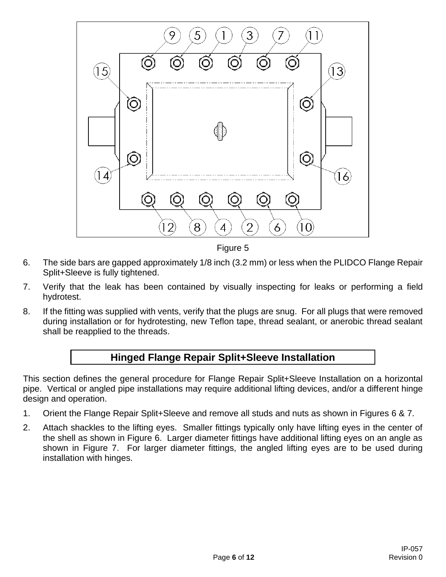

Figure 5

- 6. The side bars are gapped approximately 1/8 inch (3.2 mm) or less when the PLIDCO Flange Repair Split+Sleeve is fully tightened.
- 7. Verify that the leak has been contained by visually inspecting for leaks or performing a field hydrotest.
- 8. If the fitting was supplied with vents, verify that the plugs are snug. For all plugs that were removed during installation or for hydrotesting, new Teflon tape, thread sealant, or anerobic thread sealant shall be reapplied to the threads.

## **Hinged Flange Repair Split+Sleeve Installation**

This section defines the general procedure for Flange Repair Split+Sleeve Installation on a horizontal pipe. Vertical or angled pipe installations may require additional lifting devices, and/or a different hinge design and operation.

- 1. Orient the Flange Repair Split+Sleeve and remove all studs and nuts as shown in Figures 6 & 7.
- 2. Attach shackles to the lifting eyes. Smaller fittings typically only have lifting eyes in the center of the shell as shown in Figure 6. Larger diameter fittings have additional lifting eyes on an angle as shown in Figure 7. For larger diameter fittings, the angled lifting eyes are to be used during installation with hinges.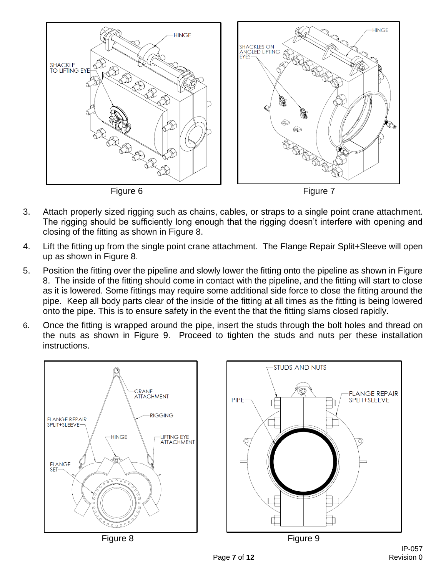

- 3. Attach properly sized rigging such as chains, cables, or straps to a single point crane attachment. The rigging should be sufficiently long enough that the rigging doesn't interfere with opening and closing of the fitting as shown in Figure 8.
- 4. Lift the fitting up from the single point crane attachment. The Flange Repair Split+Sleeve will open up as shown in Figure 8.
- 5. Position the fitting over the pipeline and slowly lower the fitting onto the pipeline as shown in Figure 8. The inside of the fitting should come in contact with the pipeline, and the fitting will start to close as it is lowered. Some fittings may require some additional side force to close the fitting around the pipe. Keep all body parts clear of the inside of the fitting at all times as the fitting is being lowered onto the pipe. This is to ensure safety in the event the that the fitting slams closed rapidly.
- 6. Once the fitting is wrapped around the pipe, insert the studs through the bolt holes and thread on the nuts as shown in Figure 9. Proceed to tighten the studs and nuts per these installation instructions.

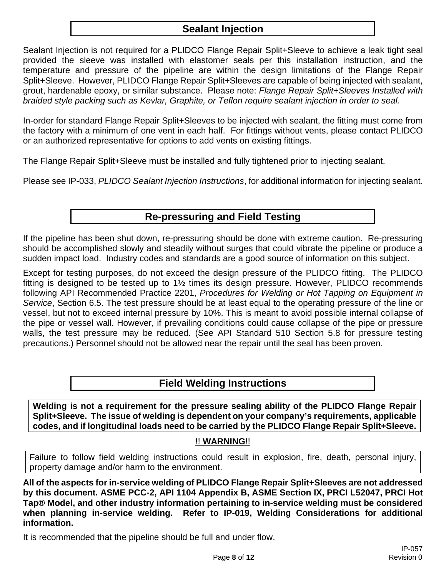## **Sealant Injection**

Sealant Injection is not required for a PLIDCO Flange Repair Split+Sleeve to achieve a leak tight seal provided the sleeve was installed with elastomer seals per this installation instruction, and the temperature and pressure of the pipeline are within the design limitations of the Flange Repair Split+Sleeve. However, PLIDCO Flange Repair Split+Sleeves are capable of being injected with sealant, grout, hardenable epoxy, or similar substance. Please note: *Flange Repair Split+Sleeves Installed with braided style packing such as Kevlar, Graphite, or Teflon require sealant injection in order to seal.*

In-order for standard Flange Repair Split+Sleeves to be injected with sealant, the fitting must come from the factory with a minimum of one vent in each half. For fittings without vents, please contact PLIDCO or an authorized representative for options to add vents on existing fittings.

The Flange Repair Split+Sleeve must be installed and fully tightened prior to injecting sealant.

Please see IP-033, *PLIDCO Sealant Injection Instructions*, for additional information for injecting sealant.

## **Re-pressuring and Field Testing**

If the pipeline has been shut down, re-pressuring should be done with extreme caution. Re-pressuring should be accomplished slowly and steadily without surges that could vibrate the pipeline or produce a sudden impact load. Industry codes and standards are a good source of information on this subject.

Except for testing purposes, do not exceed the design pressure of the PLIDCO fitting. The PLIDCO fitting is designed to be tested up to 1½ times its design pressure. However, PLIDCO recommends following API Recommended Practice 2201, *Procedures for Welding or Hot Tapping on Equipment in Service*, Section 6.5. The test pressure should be at least equal to the operating pressure of the line or vessel, but not to exceed internal pressure by 10%. This is meant to avoid possible internal collapse of the pipe or vessel wall. However, if prevailing conditions could cause collapse of the pipe or pressure walls, the test pressure may be reduced. (See API Standard 510 Section 5.8 for pressure testing precautions.) Personnel should not be allowed near the repair until the seal has been proven.

#### **Field Welding Instructions**

**Welding is not a requirement for the pressure sealing ability of the PLIDCO Flange Repair Split+Sleeve. The issue of welding is dependent on your company's requirements, applicable codes, and if longitudinal loads need to be carried by the PLIDCO Flange Repair Split+Sleeve.**

#### !! **WARNING**!!

Failure to follow field welding instructions could result in explosion, fire, death, personal injury, property damage and/or harm to the environment.

**All of the aspects for in-service welding of PLIDCO Flange Repair Split+Sleeves are not addressed by this document. ASME PCC-2, API 1104 Appendix B, ASME Section IX, PRCI L52047, PRCI Hot Tap® Model, and other industry information pertaining to in-service welding must be considered when planning in-service welding. Refer to IP-019, Welding Considerations for additional information.**

It is recommended that the pipeline should be full and under flow.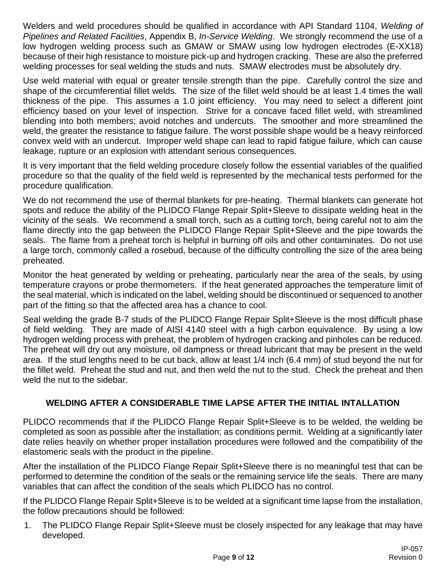Welders and weld procedures should be qualified in accordance with API Standard 1104, *Welding of Pipelines and Related Facilities*, Appendix B, *In-Service Welding*. We strongly recommend the use of a low hydrogen welding process such as GMAW or SMAW using low hydrogen electrodes (E-XX18) because of their high resistance to moisture pick-up and hydrogen cracking. These are also the preferred welding processes for seal welding the studs and nuts. SMAW electrodes must be absolutely dry.

Use weld material with equal or greater tensile strength than the pipe. Carefully control the size and shape of the circumferential fillet welds. The size of the fillet weld should be at least 1.4 times the wall thickness of the pipe. This assumes a 1.0 joint efficiency. You may need to select a different joint efficiency based on your level of inspection. Strive for a concave faced fillet weld, with streamlined blending into both members; avoid notches and undercuts. The smoother and more streamlined the weld, the greater the resistance to fatigue failure. The worst possible shape would be a heavy reinforced convex weld with an undercut. Improper weld shape can lead to rapid fatigue failure, which can cause leakage, rupture or an explosion with attendant serious consequences.

It is very important that the field welding procedure closely follow the essential variables of the qualified procedure so that the quality of the field weld is represented by the mechanical tests performed for the procedure qualification.

We do not recommend the use of thermal blankets for pre-heating. Thermal blankets can generate hot spots and reduce the ability of the PLIDCO Flange Repair Split+Sleeve to dissipate welding heat in the vicinity of the seals. We recommend a small torch, such as a cutting torch, being careful not to aim the flame directly into the gap between the PLIDCO Flange Repair Split+Sleeve and the pipe towards the seals. The flame from a preheat torch is helpful in burning off oils and other contaminates. Do not use a large torch, commonly called a rosebud, because of the difficulty controlling the size of the area being preheated.

Monitor the heat generated by welding or preheating, particularly near the area of the seals, by using temperature crayons or probe thermometers. If the heat generated approaches the temperature limit of the seal material, which is indicated on the label, welding should be discontinued or sequenced to another part of the fitting so that the affected area has a chance to cool.

Seal welding the grade B-7 studs of the PLIDCO Flange Repair Split+Sleeve is the most difficult phase of field welding. They are made of AISI 4140 steel with a high carbon equivalence. By using a low hydrogen welding process with preheat, the problem of hydrogen cracking and pinholes can be reduced. The preheat will dry out any moisture, oil dampness or thread lubricant that may be present in the weld area. If the stud lengths need to be cut back, allow at least 1/4 inch (6.4 mm) of stud beyond the nut for the fillet weld. Preheat the stud and nut, and then weld the nut to the stud. Check the preheat and then weld the nut to the sidebar.

#### **WELDING AFTER A CONSIDERABLE TIME LAPSE AFTER THE INITIAL INTALLATION**

PLIDCO recommends that if the PLIDCO Flange Repair Split+Sleeve is to be welded, the welding be completed as soon as possible after the installation; as conditions permit. Welding at a significantly later date relies heavily on whether proper installation procedures were followed and the compatibility of the elastomeric seals with the product in the pipeline.

After the installation of the PLIDCO Flange Repair Split+Sleeve there is no meaningful test that can be performed to determine the condition of the seals or the remaining service life the seals. There are many variables that can affect the condition of the seals which PLIDCO has no control.

If the PLIDCO Flange Repair Split+Sleeve is to be welded at a significant time lapse from the installation, the follow precautions should be followed:

1. The PLIDCO Flange Repair Split+Sleeve must be closely inspected for any leakage that may have developed.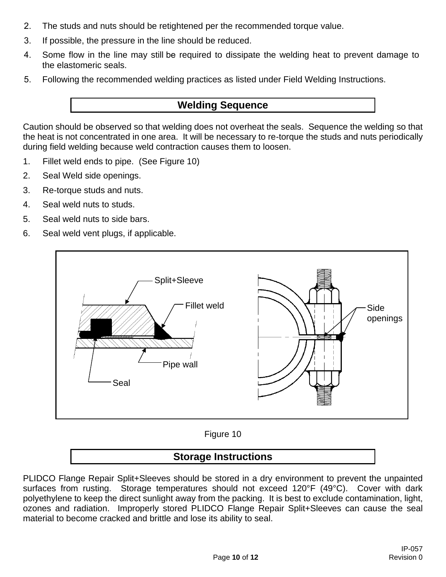- 2. The studs and nuts should be retightened per the recommended torque value.
- 3. If possible, the pressure in the line should be reduced.
- 4. Some flow in the line may still be required to dissipate the welding heat to prevent damage to the elastomeric seals.
- 5. Following the recommended welding practices as listed under Field Welding Instructions.

## **Welding Sequence**

Caution should be observed so that welding does not overheat the seals. Sequence the welding so that the heat is not concentrated in one area. It will be necessary to re-torque the studs and nuts periodically during field welding because weld contraction causes them to loosen.

- 1. Fillet weld ends to pipe. (See Figure 10)
- 2. Seal Weld side openings.
- 3. Re-torque studs and nuts.
- 4. Seal weld nuts to studs.
- 5. Seal weld nuts to side bars.
- 6. Seal weld vent plugs, if applicable.



Figure 10

## **Storage Instructions**

PLIDCO Flange Repair Split+Sleeves should be stored in a dry environment to prevent the unpainted surfaces from rusting. Storage temperatures should not exceed 120°F (49°C). Cover with dark polyethylene to keep the direct sunlight away from the packing. It is best to exclude contamination, light, ozones and radiation. Improperly stored PLIDCO Flange Repair Split+Sleeves can cause the seal material to become cracked and brittle and lose its ability to seal.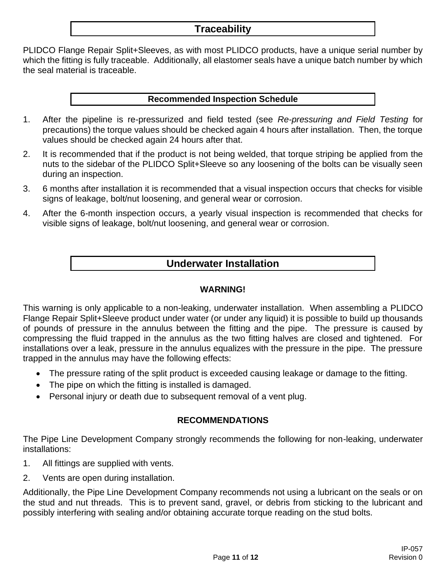## **Traceability**

PLIDCO Flange Repair Split+Sleeves, as with most PLIDCO products, have a unique serial number by which the fitting is fully traceable. Additionally, all elastomer seals have a unique batch number by which the seal material is traceable.

#### **Recommended Inspection Schedule**

- 1. After the pipeline is re-pressurized and field tested (see *Re-pressuring and Field Testing* for precautions) the torque values should be checked again 4 hours after installation. Then, the torque values should be checked again 24 hours after that.
- 2. It is recommended that if the product is not being welded, that torque striping be applied from the nuts to the sidebar of the PLIDCO Split+Sleeve so any loosening of the bolts can be visually seen during an inspection.
- 3. 6 months after installation it is recommended that a visual inspection occurs that checks for visible signs of leakage, bolt/nut loosening, and general wear or corrosion.
- 4. After the 6-month inspection occurs, a yearly visual inspection is recommended that checks for visible signs of leakage, bolt/nut loosening, and general wear or corrosion.

## **Underwater Installation**

#### **WARNING!**

This warning is only applicable to a non-leaking, underwater installation. When assembling a PLIDCO Flange Repair Split+Sleeve product under water (or under any liquid) it is possible to build up thousands of pounds of pressure in the annulus between the fitting and the pipe. The pressure is caused by compressing the fluid trapped in the annulus as the two fitting halves are closed and tightened. For installations over a leak, pressure in the annulus equalizes with the pressure in the pipe. The pressure trapped in the annulus may have the following effects:

- The pressure rating of the split product is exceeded causing leakage or damage to the fitting.
- The pipe on which the fitting is installed is damaged.
- Personal injury or death due to subsequent removal of a vent plug.

#### **RECOMMENDATIONS**

The Pipe Line Development Company strongly recommends the following for non-leaking, underwater installations:

- 1. All fittings are supplied with vents.
- 2. Vents are open during installation.

Additionally, the Pipe Line Development Company recommends not using a lubricant on the seals or on the stud and nut threads. This is to prevent sand, gravel, or debris from sticking to the lubricant and possibly interfering with sealing and/or obtaining accurate torque reading on the stud bolts.